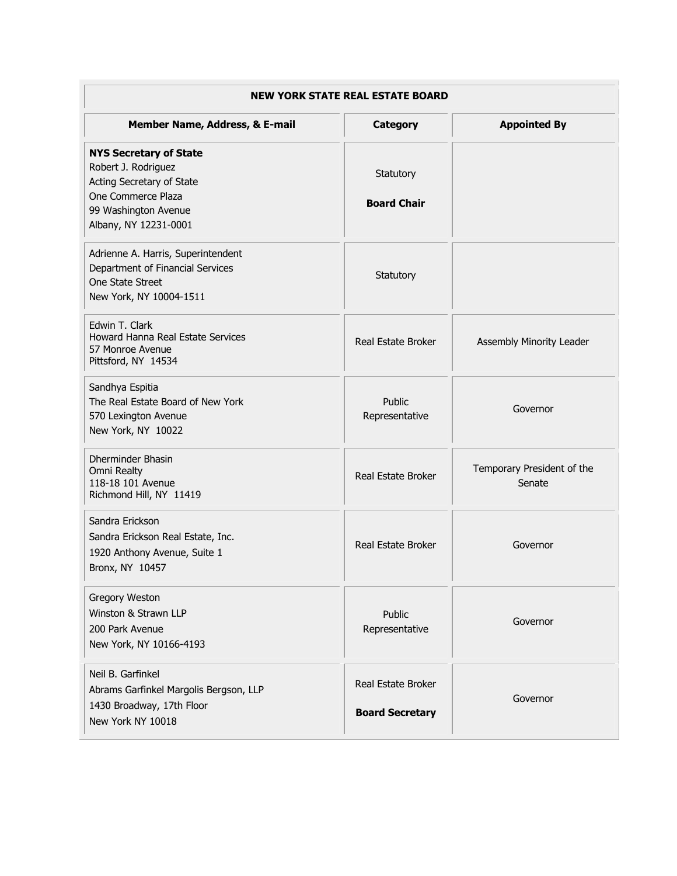| <b>NEW YORK STATE REAL ESTATE BOARD</b>                                                                                                                  |                                              |                                      |  |
|----------------------------------------------------------------------------------------------------------------------------------------------------------|----------------------------------------------|--------------------------------------|--|
| Member Name, Address, & E-mail                                                                                                                           | Category                                     | <b>Appointed By</b>                  |  |
| <b>NYS Secretary of State</b><br>Robert J. Rodriguez<br>Acting Secretary of State<br>One Commerce Plaza<br>99 Washington Avenue<br>Albany, NY 12231-0001 | Statutory<br><b>Board Chair</b>              |                                      |  |
| Adrienne A. Harris, Superintendent<br>Department of Financial Services<br>One State Street<br>New York, NY 10004-1511                                    | Statutory                                    |                                      |  |
| Edwin T. Clark<br>Howard Hanna Real Estate Services<br>57 Monroe Avenue<br>Pittsford, NY 14534                                                           | Real Estate Broker                           | Assembly Minority Leader             |  |
| Sandhya Espitia<br>The Real Estate Board of New York<br>570 Lexington Avenue<br>New York, NY 10022                                                       | Public<br>Representative                     | Governor                             |  |
| Dherminder Bhasin<br>Omni Realty<br>118-18 101 Avenue<br>Richmond Hill, NY 11419                                                                         | Real Estate Broker                           | Temporary President of the<br>Senate |  |
| Sandra Erickson<br>Sandra Erickson Real Estate, Inc.<br>1920 Anthony Avenue, Suite 1<br>Bronx, NY 10457                                                  | Real Estate Broker                           | Governor                             |  |
| Gregory Weston<br>Winston & Strawn LLP<br>200 Park Avenue<br>New York, NY 10166-4193                                                                     | Public<br>Representative                     | Governor                             |  |
| Neil B. Garfinkel<br>Abrams Garfinkel Margolis Bergson, LLP<br>1430 Broadway, 17th Floor<br>New York NY 10018                                            | Real Estate Broker<br><b>Board Secretary</b> | Governor                             |  |